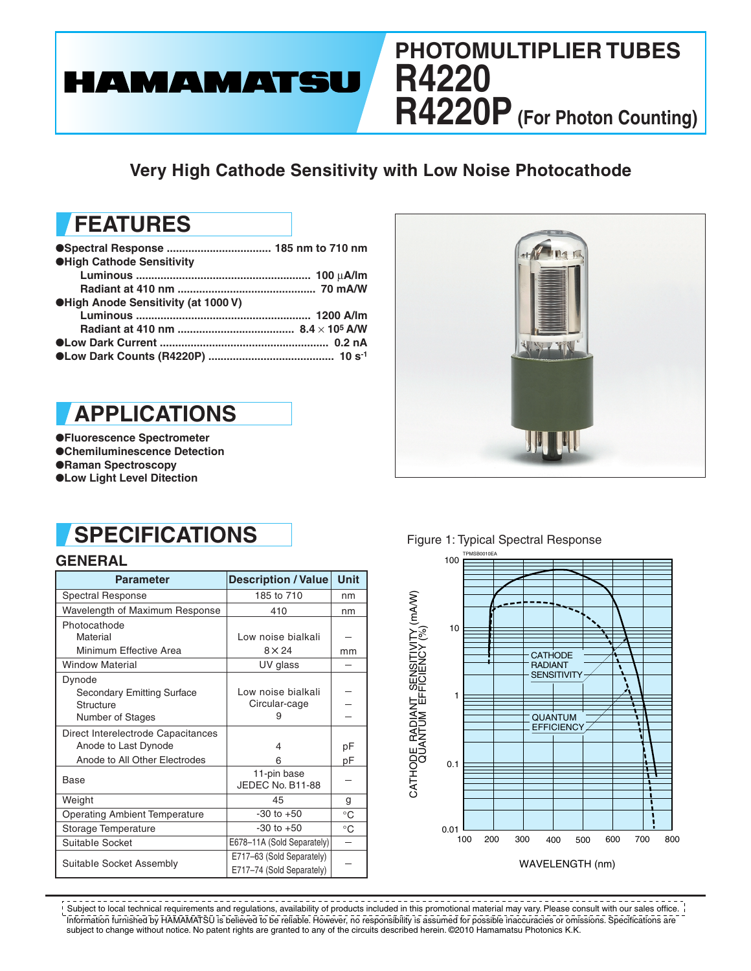## **PHOTOMULTIPLIER TUBES R4220 HAMAMATSU R4220P (For Photon Counting)**

## **Very High Cathode Sensitivity with Low Noise Photocathode**

# **FEATURES**

| <b>OHigh Cathode Sensitivity</b>           |  |
|--------------------------------------------|--|
|                                            |  |
|                                            |  |
| <b>OHigh Anode Sensitivity (at 1000 V)</b> |  |
|                                            |  |
|                                            |  |
|                                            |  |
|                                            |  |

# **APPLICATIONS**

●**Fluorescence Spectrometer** ●**Chemiluminescence Detection** ●**Raman Spectroscopy** ●**Low Light Level Ditection**



# **SPECIFICATIONS**

### **GENERAL**

| <b>Parameter</b>                     | <b>Description / Value</b> | <b>Unit</b>  |
|--------------------------------------|----------------------------|--------------|
| <b>Spectral Response</b>             | 185 to 710                 | nm           |
| Wavelength of Maximum Response       | 410                        | nm           |
| Photocathode                         |                            |              |
| Material                             | Low noise bialkali         |              |
| Minimum Effective Area               | $8 \times 24$              | mm           |
| <b>Window Material</b>               | UV glass                   |              |
| Dynode                               |                            |              |
| <b>Secondary Emitting Surface</b>    | Low noise bialkali         |              |
| Structure                            | Circular-cage              |              |
| Number of Stages                     | 9                          |              |
| Direct Interelectrode Capacitances   |                            |              |
| Anode to Last Dynode                 | 4                          | рF           |
| Anode to All Other Electrodes        | հ                          | рF           |
| Base                                 | 11-pin base                |              |
|                                      | JEDEC No. B11-88           |              |
| Weight                               | 45                         | g            |
| <b>Operating Ambient Temperature</b> | $-30$ to $+50$             | $^{\circ}$ C |
| Storage Temperature                  | $-30$ to $+50$             | $^{\circ}$ C |
| Suitable Socket                      | E678-11A (Sold Separately) |              |
|                                      | E717-63 (Sold Separately)  |              |
| Suitable Socket Assembly             | E717-74 (Sold Separately)  |              |

### Figure 1: Typical Spectral Response



 $\omega$  is  $\omega$  in  $\omega$   $\omega$   $\omega$  $- - -$ \_\_\_\_\_\_\_\_\_\_\_\_\_\_\_\_\_\_\_\_\_\_\_ Subject to local technical requirements and regulations, availability of products included in this promotional material may vary. Please consult with our sales office. Information furnished by HAMAMATSU is believed to be reliable. However, no responsibility is assumed for possible inaccuracies or omissions. Specifications are subject to change without notice. No patent rights are granted to any of the circuits described herein. ©2010 Hamamatsu Photonics K.K.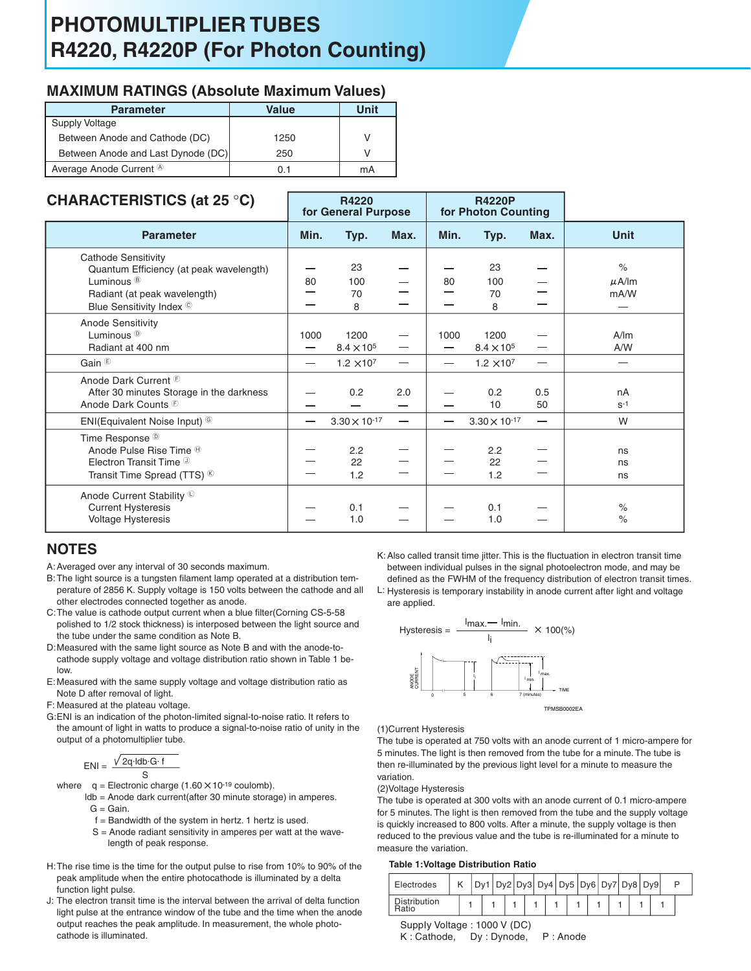## **PHOTOMULTIPLIER TUBES R4220, R4220P (For Photon Counting)**

### **MAXIMUM RATINGS (Absolute Maximum Values)**

| <b>Parameter</b>                     | Value | Unit |  |  |  |
|--------------------------------------|-------|------|--|--|--|
| <b>Supply Voltage</b>                |       |      |  |  |  |
| Between Anode and Cathode (DC)       | 1250  |      |  |  |  |
| Between Anode and Last Dynode (DC)   | 250   |      |  |  |  |
| Average Anode Current <sup>(A)</sup> | 0.1   | mA   |  |  |  |

## **CHARACTERISTlCS (at 25** °**C)**

**R4220 R4220P for General Purpose for Photon Counting Unit** Min. Typ. Max. **Parameter Min. Typ. Typ. Max.** Cathode Sensitivity 23 Quantum Efficiency (at peak wavelength) 23 % 80 100 Luminous  $\mathcal{B}$ 80 100 — | *µA*/lm Radiant (at peak wavelength)  $\sim$  70  $70$  -  $\qquad$  mA/W Blue Sensitivity Index  $\circ$   $\qquad \qquad$   $\qquad \qquad$  8 8  $\overline{\phantom{0}}$ Anode Sensitivity Luminous <sup>to</sup> the contract of the contract of the contract of the 1000 to 1200 to the contract of the contract of the contract of the contract of the contract of the contract of the contract of the contract of the contract 1000 1200 - A/lm Radiant at 400 nm  $\vert$  - 8.4  $\times$  10<sup>5</sup>  $8.4 \times 10^5$  -  $\sqrt{4}$  A/W Gain <sup>E</sup>  $1.2 \times 10^7$  -  $1.2 \times 10^7$ Anode Dark Current <sup>®</sup> After 30 minutes Storage in the darkness  $\vert$  - 0.2 2.0 0.2 0.5 nA Anode Dark Counts <sup>®</sup> 10  $50$  s<sup>-1</sup>  $3.30 \times 10^{-17}$  - W ENI(Equivalent Noise Input) <sup>©</sup>  $3.30 \times 10^{-17}$  $\frac{1}{1}$ Time Response<sup><sup>®</sup></sup> Anode Pulse Rise Time  $\theta$   $\qquad$   $\qquad$  2.2 2.2 ns Electron Transit Time  $\mathbb{Q}$   $\qquad \qquad$   $\qquad$  22 22 ns Transit Time Spread (TTS)  $\&$   $\qquad$  1.2 1.2 ns Anode Current Stability <sup>1</sup> Current Hysteresis 0.1 0.1  $\frac{1}{\sqrt{2}}$ Voltage Hysteresis % 1.0 1.0

### **NOTES**

- A: Averaged over any interval of 30 seconds maximum.
- B: The light source is a tungsten filament lamp operated at a distribution temperature of 2856 K. Supply voltage is 150 volts between the cathode and all other electrodes connected together as anode.
- C: The value is cathode output current when a blue filter(Corning CS-5-58 polished to 1/2 stock thickness) is interposed between the light source and the tube under the same condition as Note B.
- D: Measured with the same light source as Note B and with the anode-tocathode supply voltage and voltage distribution ratio shown in Table 1 below.
- E: Measured with the same supply voltage and voltage distribution ratio as Note D after removal of light.
- F: Measured at the plateau voltage.
- G: ENI is an indication of the photon-limited signal-to-noise ratio. It refers to the amount of light in watts to produce a signal-to-noise ratio of unity in the output of a photomultiplier tube.

$$
ENI = \frac{\sqrt{2q \cdot \text{Idb} \cdot G \cdot f}}{S}
$$

where  $q =$  Electronic charge (1.60  $\times$  10<sup>-19</sup> coulomb).

- ldb = Anode dark current(after 30 minute storage) in amperes.  $G =$  Gain.
	- f = Bandwidth of the system in hertz. 1 hertz is used.
	- $S =$  Anode radiant sensitivity in amperes per watt at the wavelength of peak response.
- H: The rise time is the time for the output pulse to rise from 10% to 90% of the peak amplitude when the entire photocathode is illuminated by a delta function light pulse.
- J: The electron transit time is the interval between the arrival of delta function light pulse at the entrance window of the tube and the time when the anode output reaches the peak amplitude. In measurement, the whole photocathode is illuminated.

K: Also called transit time jitter. This is the fluctuation in electron transit time between individual pulses in the signal photoelectron mode, and may be defined as the FWHM of the frequency distribution of electron transit times.

L: Hysteresis is temporary instability in anode current after light and voltage are applied.



(1)Current Hysteresis

The tube is operated at 750 volts with an anode current of 1 micro-ampere for 5 minutes. The light is then removed from the tube for a minute. The tube is then re-illuminated by the previous light level for a minute to measure the variation.

#### (2)Voltage Hysteresis

The tube is operated at 300 volts with an anode current of 0.1 micro-ampere for 5 minutes. The light is then removed from the tube and the supply voltage is quickly increased to 800 volts. After a minute, the supply voltage is then reduced to the previous value and the tube is re-illuminated for a minute to measure the variation.

#### **Table 1:Voltage Distribution Ratio**

| Electrodes            |  |  |  | $Dy1   Dy2   Dy3   Dy4   Dy5   Dy6   Dy7   Dy8   Dy9$ |  |  |  |  |  |  |  |  |  |  |  |  |
|-----------------------|--|--|--|-------------------------------------------------------|--|--|--|--|--|--|--|--|--|--|--|--|
| Distribution<br>Ratio |  |  |  |                                                       |  |  |  |  |  |  |  |  |  |  |  |  |

#### SuppIy Voltage : 1000 V (DC)

K : Cathode, Dy : Dynode, P : Anode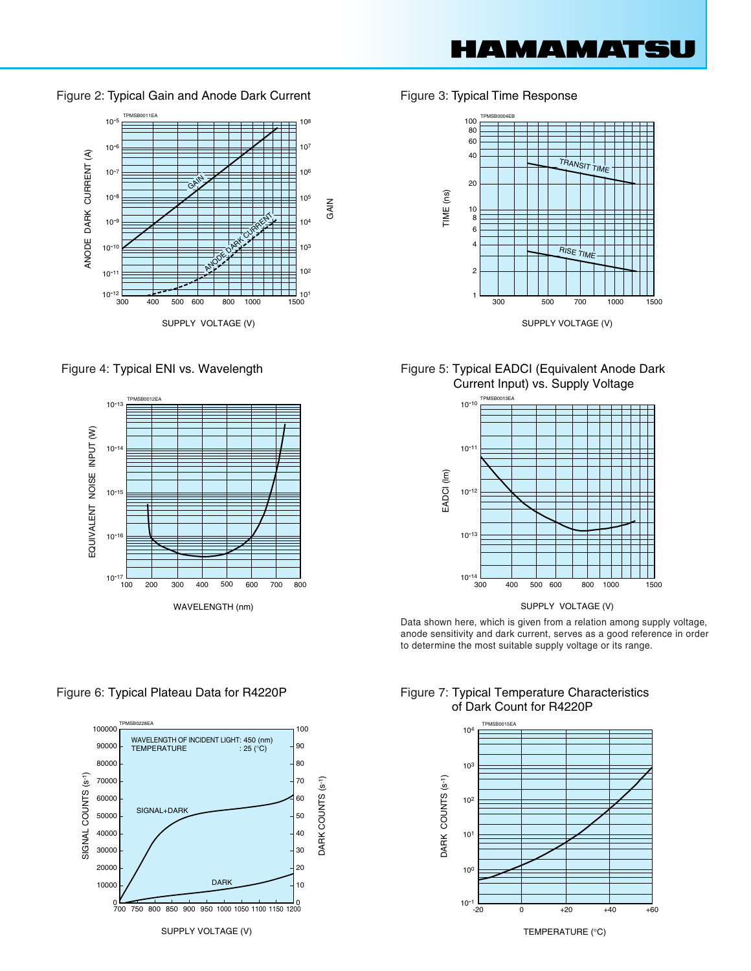IAMAMAT!

Figure 2: Typical Gain and Anode Dark Current Figure 3: Typical Time Response







Figure 4: Typical ENI vs. Wavelength Figure 5: Typical EADCI (Equivalent Anode Dark Current Input) vs. Supply Voltage



Data shown here, which is given from a relation among supply voltage, anode sensitivity and dark current, serves as a good reference in order to determine the most suitable supply voltage or its range.



Figure 6: Typical Plateau Data for R4220P Figure 7: Typical Temperature Characteristics of Dark Count for R4220P